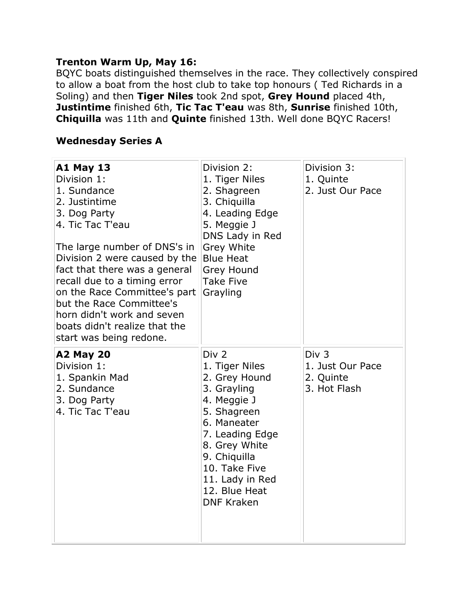#### **Trenton Warm Up, May 16:**

BQYC boats distinguished themselves in the race. They collectively conspired to allow a boat from the host club to take top honours ( Ted Richards in a Soling) and then **Tiger Niles** took 2nd spot, **Grey Hound** placed 4th, **Justintime** finished 6th, **Tic Tac T'eau** was 8th, **Sunrise** finished 10th, **Chiquilla** was 11th and **Quinte** finished 13th. Well done BQYC Racers!

#### **Wednesday Series A**

| <b>A1 May 13</b><br>Division 1:<br>1. Sundance<br>2. Justintime<br>3. Dog Party<br>4. Tic Tac T'eau<br>The large number of DNS's in<br>Division 2 were caused by the<br>fact that there was a general<br>recall due to a timing error<br>on the Race Committee's part<br>but the Race Committee's<br>horn didn't work and seven<br>boats didn't realize that the<br>start was being redone. | Division 2:<br>1. Tiger Niles<br>2. Shagreen<br>3. Chiquilla<br>4. Leading Edge<br>5. Meggie J<br>DNS Lady in Red<br>Grey White<br><b>Blue Heat</b><br>Grey Hound<br>Take Five<br>Grayling                                                    | Division 3:<br>1. Quinte<br>2. Just Our Pace                      |
|---------------------------------------------------------------------------------------------------------------------------------------------------------------------------------------------------------------------------------------------------------------------------------------------------------------------------------------------------------------------------------------------|-----------------------------------------------------------------------------------------------------------------------------------------------------------------------------------------------------------------------------------------------|-------------------------------------------------------------------|
| <b>A2 May 20</b><br>Division 1:<br>1. Spankin Mad<br>2. Sundance<br>3. Dog Party<br>4. Tic Tac T'eau                                                                                                                                                                                                                                                                                        | Div <sub>2</sub><br>1. Tiger Niles<br>2. Grey Hound<br>3. Grayling<br>4. Meggie J<br>5. Shagreen<br>6. Maneater<br>7. Leading Edge<br>8. Grey White<br>9. Chiquilla<br>10. Take Five<br>11. Lady in Red<br>12. Blue Heat<br><b>DNF Kraken</b> | Div <sub>3</sub><br>1. Just Our Pace<br>2. Quinte<br>3. Hot Flash |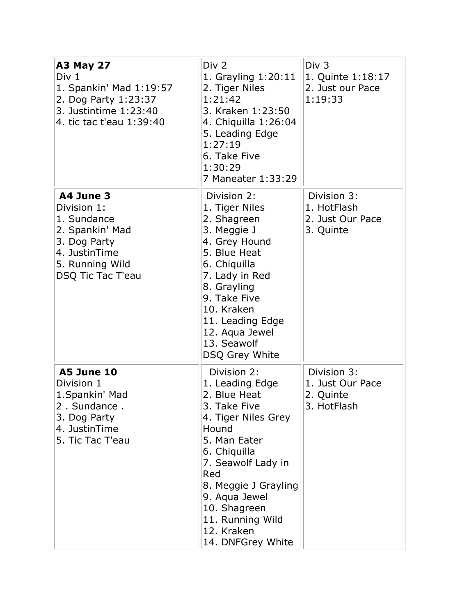| <b>A3 May 27</b><br>Div 1<br>1. Spankin' Mad 1:19:57<br>2. Dog Party 1:23:37<br>3. Justintime 1:23:40<br>4. tic tac t'eau 1:39:40   | Div <sub>2</sub><br>1. Grayling 1:20:11<br>2. Tiger Niles<br>1:21:42<br>3. Kraken 1:23:50<br>4. Chiquilla 1:26:04<br>5. Leading Edge<br>1:27:19<br>6. Take Five<br>1:30:29<br>7 Maneater 1:33:29                                                                            | Div 3<br>1. Quinte 1:18:17<br>2. Just our Pace<br>1:19:33   |
|-------------------------------------------------------------------------------------------------------------------------------------|-----------------------------------------------------------------------------------------------------------------------------------------------------------------------------------------------------------------------------------------------------------------------------|-------------------------------------------------------------|
| A4 June 3<br>Division 1:<br>1. Sundance<br>2. Spankin' Mad<br>3. Dog Party<br>4. JustinTime<br>5. Running Wild<br>DSQ Tic Tac T'eau | Division 2:<br>1. Tiger Niles<br>2. Shagreen<br>3. Meggie J<br>4. Grey Hound<br>5. Blue Heat<br>6. Chiquilla<br>7. Lady in Red<br>8. Grayling<br>9. Take Five<br>10. Kraken<br>11. Leading Edge<br>12. Aqua Jewel<br>13. Seawolf<br>DSQ Grey White                          | Division 3:<br>1. HotFlash<br>2. Just Our Pace<br>3. Quinte |
| <b>A5 June 10</b><br>Division 1<br>1. Spankin' Mad<br>2. Sundance.<br>3. Dog Party<br>4. JustinTime<br>5. Tic Tac T'eau             | Division 2:<br>1. Leading Edge<br>2. Blue Heat<br>3. Take Five<br>4. Tiger Niles Grey<br>Hound<br>5. Man Eater<br>6. Chiquilla<br>7. Seawolf Lady in<br>Red<br>8. Meggie J Grayling<br>9. Aqua Jewel<br>10. Shagreen<br>11. Running Wild<br>12. Kraken<br>14. DNFGrey White | Division 3:<br>1. Just Our Pace<br>2. Quinte<br>3. HotFlash |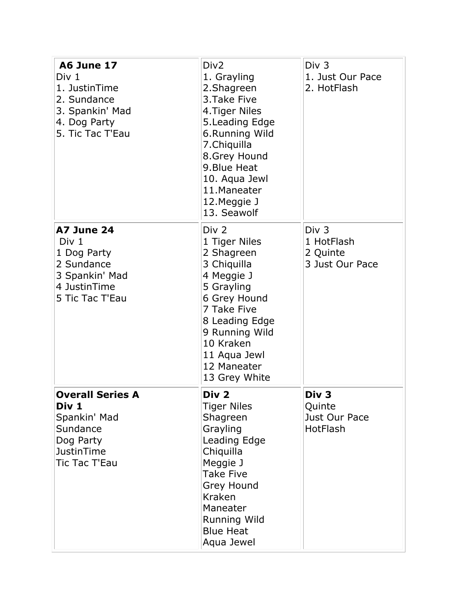| <b>A6 June 17</b><br>Div 1<br>1. JustinTime<br>2. Sundance<br>3. Spankin' Mad<br>4. Dog Party<br>5. Tic Tac T'Eau | Div <sub>2</sub><br>1. Grayling<br>2.Shagreen<br>3. Take Five<br>4. Tiger Niles<br>5. Leading Edge<br>6.Running Wild<br>7. Chiquilla<br>8.Grey Hound<br>9. Blue Heat<br>10. Aqua Jewl<br>11.Maneater<br>12. Meggie J<br>13. Seawolf | Div <sub>3</sub><br>1. Just Our Pace<br>2. HotFlash           |
|-------------------------------------------------------------------------------------------------------------------|-------------------------------------------------------------------------------------------------------------------------------------------------------------------------------------------------------------------------------------|---------------------------------------------------------------|
| A7 June 24<br>Div 1<br>1 Dog Party<br>2 Sundance<br>3 Spankin' Mad<br>4 JustinTime<br>5 Tic Tac T'Eau             | Div 2<br>1 Tiger Niles<br>2 Shagreen<br>3 Chiquilla<br>4 Meggie J<br>5 Grayling<br>6 Grey Hound<br>7 Take Five<br>8 Leading Edge<br>9 Running Wild<br>10 Kraken<br>11 Aqua Jewl<br>12 Maneater<br>13 Grey White                     | Div <sub>3</sub><br>1 HotFlash<br>2 Quinte<br>3 Just Our Pace |
| <b>Overall Series A</b><br>Div 1<br>Spankin' Mad<br>Sundance<br>Dog Party<br><b>JustinTime</b><br>Tic Tac T'Eau   | Div <sub>2</sub><br><b>Tiger Niles</b><br>Shagreen<br>Grayling<br>Leading Edge<br>Chiquilla<br>Meggie J<br><b>Take Five</b><br>Grey Hound<br>Kraken<br>Maneater<br><b>Running Wild</b><br><b>Blue Heat</b><br>Aqua Jewel            | Div <sub>3</sub><br>Quinte<br>Just Our Pace<br>HotFlash       |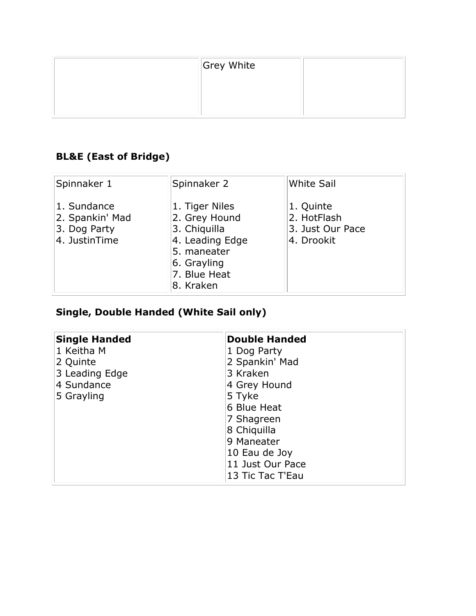| Grey White |  |
|------------|--|
|            |  |
|            |  |
|            |  |

## **BL&E (East of Bridge)**

| Spinnaker 1                                                     | Spinnaker 2                                                                                                                   | <b>White Sail</b>                                          |
|-----------------------------------------------------------------|-------------------------------------------------------------------------------------------------------------------------------|------------------------------------------------------------|
| 1. Sundance<br>2. Spankin' Mad<br>3. Dog Party<br>4. JustinTime | 1. Tiger Niles<br>2. Grey Hound<br>3. Chiquilla<br>4. Leading Edge<br>5. maneater<br>6. Grayling<br>7. Blue Heat<br>8. Kraken | 1. Quinte<br>2. HotFlash<br>3. Just Our Pace<br>4. Drookit |

# **Single, Double Handed (White Sail only)**

| <b>Single Handed</b> | <b>Double Handed</b> |  |
|----------------------|----------------------|--|
| 1 Keitha M           | 1 Dog Party          |  |
| 2 Quinte             | 2 Spankin' Mad       |  |
| 3 Leading Edge       | 3 Kraken             |  |
| 4 Sundance           | 4 Grey Hound         |  |
| 5 Grayling           | 5 Tyke               |  |
|                      | 6 Blue Heat          |  |
|                      | 7 Shagreen           |  |
|                      | 8 Chiquilla          |  |
|                      | 9 Maneater           |  |
|                      | 10 Eau de Joy        |  |
|                      | 11 Just Our Pace     |  |
|                      | 13 Tic Tac T'Eau     |  |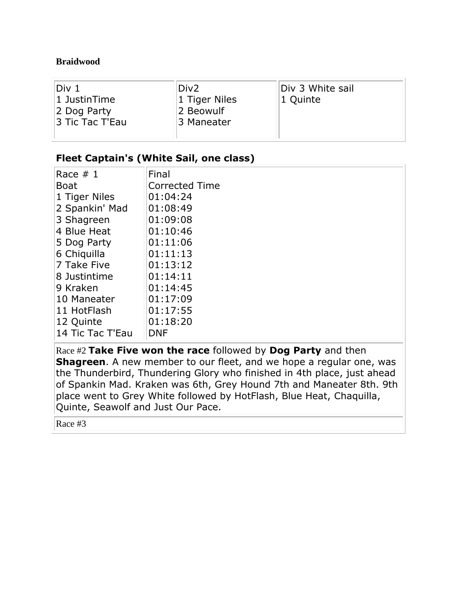#### **Braidwood**

| Div 1           | Div <sub>2</sub> | Div 3 White sail |
|-----------------|------------------|------------------|
| $ 1$ JustinTime | 1 Tiger Niles    | 1 Quinte         |
| 2 Dog Party     | 2 Beowulf        |                  |
| 3 Tic Tac T'Eau | 3 Maneater       |                  |
|                 |                  |                  |

#### **Fleet Captain's (White Sail, one class)**

| Race $# 1$       | Final                 |
|------------------|-----------------------|
| <b>Boat</b>      | <b>Corrected Time</b> |
| 1 Tiger Niles    | 01:04:24              |
| 2 Spankin' Mad   | 01:08:49              |
| 3 Shagreen       | 01:09:08              |
| 4 Blue Heat      | 01:10:46              |
| 5 Dog Party      | 01:11:06              |
| 6 Chiquilla      | 01:11:13              |
| 7 Take Five      | 01:13:12              |
| 8 Justintime     | 01:14:11              |
| 9 Kraken         | 01:14:45              |
| 10 Maneater      | 01:17:09              |
| 11 HotFlash      | 01:17:55              |
| 12 Quinte        | 01:18:20              |
| 14 Tic Tac T'Eau | <b>DNF</b>            |
|                  |                       |

Race #2 **Take Five won the race** followed by **Dog Party** and then **Shagreen**. A new member to our fleet, and we hope a regular one, was the Thunderbird, Thundering Glory who finished in 4th place, just ahead of Spankin Mad. Kraken was 6th, Grey Hound 7th and Maneater 8th. 9th place went to Grey White followed by HotFlash, Blue Heat, Chaquilla, Quinte, Seawolf and Just Our Pace.

Race #3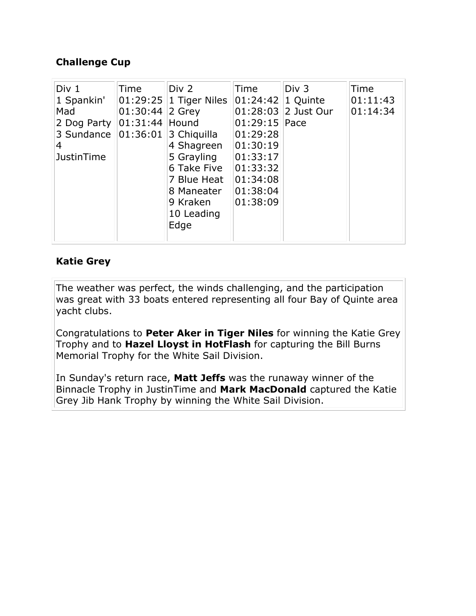### **Challenge Cup**

| Div 1<br>1 Spankin'<br>Mad<br>2 Dog Party   01:31:44<br>3 Sundance $ 01:36:01 $ 3 Chiquilla<br>4<br>JustinTime | Time<br>$ 01:30:44 $ 2 Grey | Div 2<br>$ 01:29:25 1$ Tiger Niles<br>Hound<br>4 Shagreen<br>5 Grayling<br>6 Take Five<br>7 Blue Heat<br>8 Maneater<br>9 Kraken | Time<br>$ 01:24:42 1$ Quinte<br>$01:29:15$ Pace<br>01:29:28<br> 01:30:19<br>01:33:17<br>01:33:32<br> 01:34:08<br>01:38:04<br>01:38:09 | Div 3<br>$01:28:03$ 2 Just Our | Time<br>01:11:43<br>01:14:34 |
|----------------------------------------------------------------------------------------------------------------|-----------------------------|---------------------------------------------------------------------------------------------------------------------------------|---------------------------------------------------------------------------------------------------------------------------------------|--------------------------------|------------------------------|
|                                                                                                                |                             | 10 Leading<br>Edge                                                                                                              |                                                                                                                                       |                                |                              |

#### **Katie Grey**

The weather was perfect, the winds challenging, and the participation was great with 33 boats entered representing all four Bay of Quinte area yacht clubs.

Congratulations to **Peter Aker in Tiger Niles** for winning the Katie Grey Trophy and to **Hazel Lloyst in HotFlash** for capturing the Bill Burns Memorial Trophy for the White Sail Division.

In Sunday's return race, **Matt Jeffs** was the runaway winner of the Binnacle Trophy in JustinTime and **Mark MacDonald** captured the Katie Grey Jib Hank Trophy by winning the White Sail Division.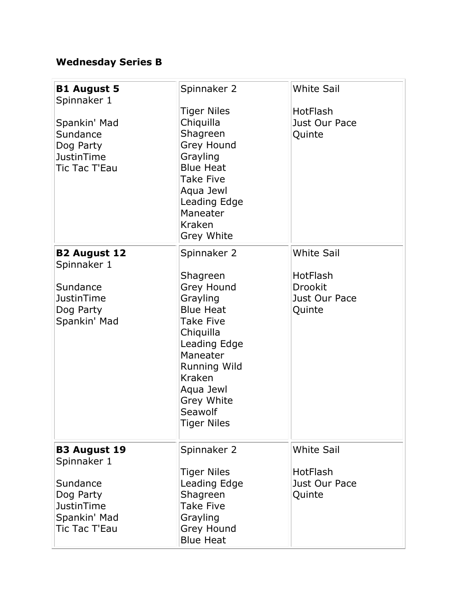## **Wednesday Series B**

| <b>B1 August 5</b><br>Spinnaker 1<br>Spankin' Mad<br>Sundance<br>Dog Party<br>JustinTime<br>Tic Tac T'Eau         | Spinnaker 2<br><b>Tiger Niles</b><br>Chiquilla<br>Shagreen<br>Grey Hound<br>Grayling<br><b>Blue Heat</b><br><b>Take Five</b><br>Aqua Jewl<br>Leading Edge<br>Maneater<br>Kraken<br>Grey White                                   | <b>White Sail</b><br>HotFlash<br>Just Our Pace<br>Quinte            |
|-------------------------------------------------------------------------------------------------------------------|---------------------------------------------------------------------------------------------------------------------------------------------------------------------------------------------------------------------------------|---------------------------------------------------------------------|
| <b>B2 August 12</b><br>Spinnaker 1<br>Sundance<br>JustinTime<br>Dog Party<br>Spankin' Mad                         | Spinnaker 2<br>Shagreen<br>Grey Hound<br>Grayling<br><b>Blue Heat</b><br><b>Take Five</b><br>Chiquilla<br>Leading Edge<br>Maneater<br><b>Running Wild</b><br>Kraken<br>Aqua Jewl<br>Grey White<br>Seawolf<br><b>Tiger Niles</b> | <b>White Sail</b><br>HotFlash<br>Drookit<br>Just Our Pace<br>Quinte |
| <b>B3 August 19</b><br>Spinnaker 1<br>Sundance<br>Dog Party<br><b>JustinTime</b><br>Spankin' Mad<br>Tic Tac T'Eau | Spinnaker 2<br><b>Tiger Niles</b><br>Leading Edge<br>Shagreen<br><b>Take Five</b><br>Grayling<br>Grey Hound<br><b>Blue Heat</b>                                                                                                 | <b>White Sail</b><br><b>HotFlash</b><br>Just Our Pace<br>Quinte     |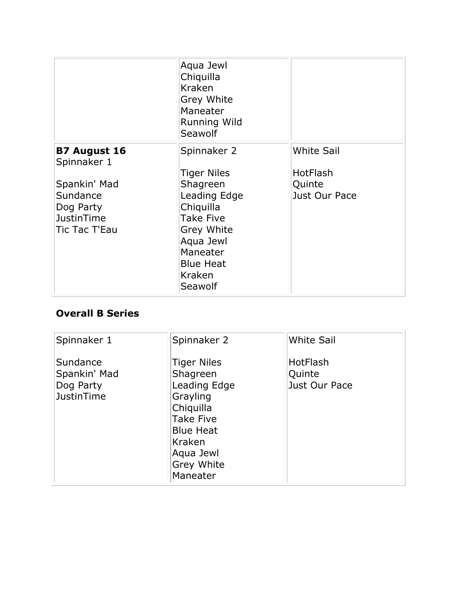|                                                                                                                          | Aqua Jewl<br>Chiquilla<br>Kraken<br>Grey White<br>Maneater<br><b>Running Wild</b><br>Seawolf                                                                                   |                                                          |
|--------------------------------------------------------------------------------------------------------------------------|--------------------------------------------------------------------------------------------------------------------------------------------------------------------------------|----------------------------------------------------------|
| <b>B7 August 16</b><br>Spinnaker 1<br>Spankin' Mad<br>Sundance<br>Dog Party<br><b>JustinTime</b><br><b>Tic Tac T'Eau</b> | Spinnaker 2<br><b>Tiger Niles</b><br>Shagreen<br>Leading Edge<br>Chiquilla<br><b>Take Five</b><br>Grey White<br>Aqua Jewl<br>Maneater<br><b>Blue Heat</b><br>Kraken<br>Seawolf | <b>White Sail</b><br>HotFlash<br>Quinte<br>Just Our Pace |

### **Overall B Series**

| Spinnaker 1                                                | Spinnaker 2                                                                                                                                                      | <b>White Sail</b>                          |
|------------------------------------------------------------|------------------------------------------------------------------------------------------------------------------------------------------------------------------|--------------------------------------------|
| Sundance<br>Spankin' Mad<br>Dog Party<br><b>JustinTime</b> | <b>Tiger Niles</b><br>Shagreen<br>Leading Edge<br>Grayling<br>Chiquilla<br><b>Take Five</b><br><b>Blue Heat</b><br>Kraken<br>Aqua Jewl<br>Grey White<br>Maneater | <b>HotFlash</b><br>Quinte<br>Just Our Pace |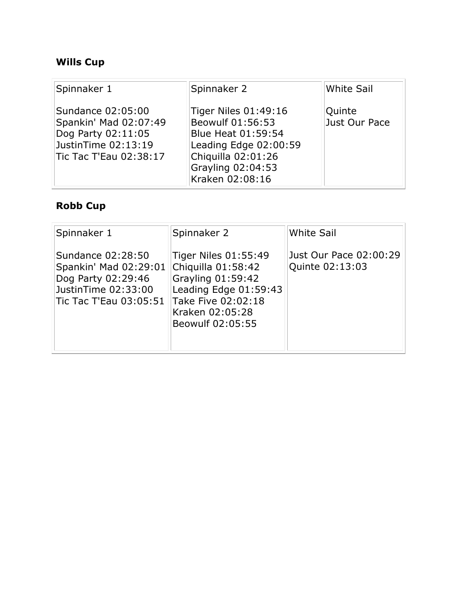## **Wills Cup**

| Spinnaker 1                                                                                                       | Spinnaker 2                                                                                                                                           | <b>White Sail</b>       |
|-------------------------------------------------------------------------------------------------------------------|-------------------------------------------------------------------------------------------------------------------------------------------------------|-------------------------|
| Sundance 02:05:00<br>Spankin' Mad 02:07:49<br>Dog Party 02:11:05<br>JustinTime 02:13:19<br>Tic Tac T'Eau 02:38:17 | Tiger Niles 01:49:16<br>Beowulf 01:56:53<br>Blue Heat 01:59:54<br>Leading Edge 02:00:59<br>Chiquilla 02:01:26<br>Grayling 02:04:53<br>Kraken 02:08:16 | Quinte<br>Just Our Pace |

## **Robb Cup**

| Spinnaker 1                                                                                                                            | Spinnaker 2                                                                                                                                             | <b>White Sail</b>                         |
|----------------------------------------------------------------------------------------------------------------------------------------|---------------------------------------------------------------------------------------------------------------------------------------------------------|-------------------------------------------|
| Sundance 02:28:50<br>Spankin' Mad 02:29:01<br>Dog Party 02:29:46<br>JustinTime 02:33:00<br>$\overline{\text{T}}$ ic Tac T'Eau 03:05:51 | Tiger Niles 01:55:49<br>Chiquilla 01:58:42<br>Grayling $01:59:42$<br>Leading Edge 01:59:43<br>Take Five 02:02:18<br>Kraken 02:05:28<br>Beowulf 02:05:55 | Just Our Pace 02:00:29<br>Quinte 02:13:03 |